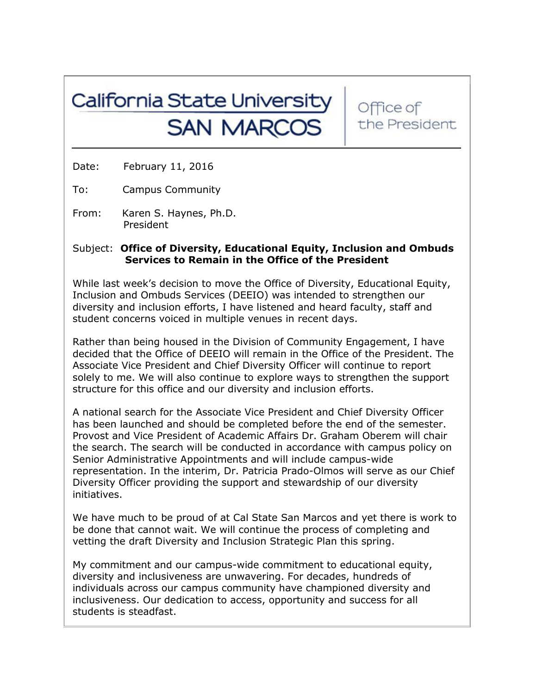## California State University **SAN MARCOS**

Office of the President

Date: February 11, 2016

To: Campus Community

From: Karen S. Haynes, Ph.D. President

## Subject: **Office of Diversity, Educational Equity, Inclusion and Ombuds Services to Remain in the Office of the President**

While last week's decision to move the Office of Diversity, Educational Equity, Inclusion and Ombuds Services (DEEIO) was intended to strengthen our diversity and inclusion efforts, I have listened and heard faculty, staff and student concerns voiced in multiple venues in recent days.

Rather than being housed in the Division of Community Engagement, I have decided that the Office of DEEIO will remain in the Office of the President. The Associate Vice President and Chief Diversity Officer will continue to report solely to me. We will also continue to explore ways to strengthen the support structure for this office and our diversity and inclusion efforts.

A national search for the Associate Vice President and Chief Diversity Officer has been launched and should be completed before the end of the semester. Provost and Vice President of Academic Affairs Dr. Graham Oberem will chair the search. The search will be conducted in accordance with campus policy on Senior Administrative Appointments and will include campus-wide representation. In the interim, Dr. Patricia Prado-Olmos will serve as our Chief Diversity Officer providing the support and stewardship of our diversity initiatives.

We have much to be proud of at Cal State San Marcos and yet there is work to be done that cannot wait. We will continue the process of completing and vetting the draft Diversity and Inclusion Strategic Plan this spring.

My commitment and our campus-wide commitment to educational equity, diversity and inclusiveness are unwavering. For decades, hundreds of individuals across our campus community have championed diversity and inclusiveness. Our dedication to access, opportunity and success for all students is steadfast.